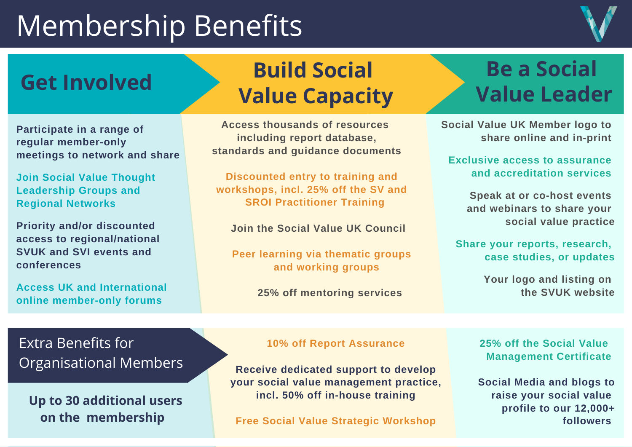## Membership Benefits



#### Get Involved<br> **Get Involved**<br> **Get Involved**<br> **A A Malue** Canagity **Build Social Value Capacity**

**Participate in a range of regular member-only meetings to network and share**

**Join Social Value Thought Leadership Groups and Regional Networks**

**Priority and/or discounted access to regional/national SVUK and SVI events and conferences**

**Access UK and International online member-only forums**

**Access thousands of resources including report database, standards and guidance documents**

**Discounted entry to training and workshops, incl. 25% off the SV and SROI Practitioner Training**

**Join the Social Value UK Council**

**Peer learning via thematic groups and working groups**

**25% off mentoring services**

# **Value Leader**

**Social Value UK Member logo to share online and in-print**

**Exclusive access to assurance and accreditation services**

> **Speak at or co-host events and webinars to share your social value practice**

**Share your reports, research, case studies, or updates**

> **Your logo and listing on the SVUK website**

#### Extra Benefits for Organisational Members

#### **Up to 30 additional users on the membership**

#### **10% off Report Assurance**

**Receive dedicated support to develop your social value management practice, incl. 50% off in-house training**

**Free Social Value Strategic Workshop**

**25% off the Social Value Management Certificate**

**Social Media and blogs to raise your social value profile to our 12,000+ followers**